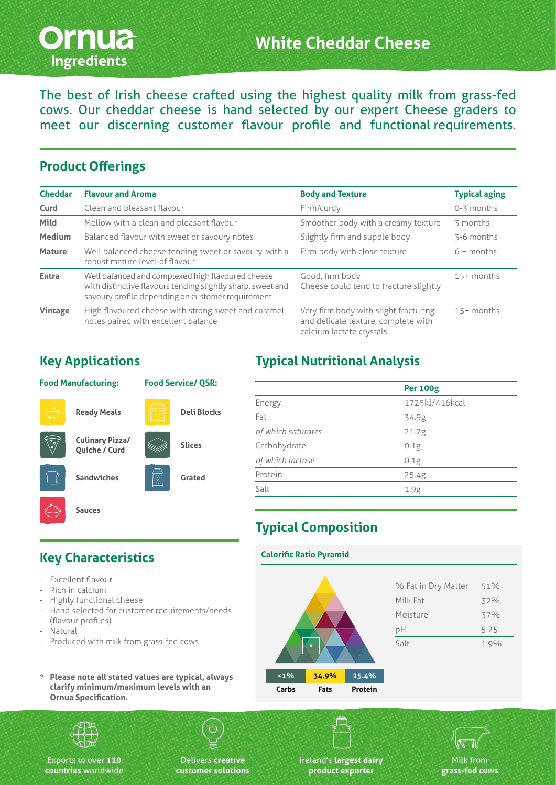

The best of Irish cheese crafted using the highest quality milk from grass-fed cows. Our cheddar cheese is hand selected by our expert Cheese graders to meet our discerning customer flavour profile and functional requirements.

#### **Product Offerings**

| <b>Cheddar</b> | <b>Flavour and Aroma</b>                                                                                                                                              | <b>Body and Texture</b>                                                                                  | <b>Typical aging</b> |
|----------------|-----------------------------------------------------------------------------------------------------------------------------------------------------------------------|----------------------------------------------------------------------------------------------------------|----------------------|
| Curd           | Clean and pleasant flavour                                                                                                                                            | Firm/curdy                                                                                               | 0-3 months           |
| Mild           | Mellow with a clean and pleasant flavour                                                                                                                              | Smoother body with a creamy texture                                                                      | 3 months             |
| <b>Medium</b>  | Balanced flavour with sweet or savoury notes                                                                                                                          | Slightly firm and supple body                                                                            | 3-6 months           |
| <b>Mature</b>  | Well balanced cheese tending sweet or savoury, with a<br>robust mature level of flavour                                                                               | Firm body with close texture                                                                             | $6 +$ months         |
| <b>Extra</b>   | Well balanced and complexed high flavoured cheese<br>with distinctive flavours tending slightly sharp, sweet and<br>savoury profile depending on customer requirement | Good, firm body<br>Cheese could tend to fracture slightly                                                | $15+$ months         |
| Vintage        | High flavoured cheese with strong sweet and caramel<br>notes paired with excellent balance                                                                            | Very firm body with slight fracturing<br>and delicate texture, complete with<br>calcium lactate crystals | $15+$ months         |

#### **Key Applications**

**Key Characteristics**

Excellent flavour - Rich in calcium - Highly functional cheese

(flavour profiles)

- Natural

#### **Food Manufacturing: Ready Meals Culinary Pizza/ Quiche / Curd Sandwiches Sauces Food Service/ QSR: Deli Blocks Slices Grated**

Hand selected for customer requirements/needs

**\* Please note all stated values are typical, always clarify minimum/maximum levels with an** 

- Produced with milk from grass-fed cows

# **Typical Nutritional Analysis**

|                    | <b>Per 100g</b> |
|--------------------|-----------------|
| Energy             | 1725kJ/416kcal  |
| Fat                | 34.9g           |
| of which saturates | 21.7g           |
| Carbohydrate       | 0.1g            |
| of which lactose   | 0.1g            |
| Protein            | 25.4g           |
| Salt               | 1.9g            |
|                    |                 |

# **Typical Composition**

#### **Calorific Ratio Pyramid**



| 51%<br>32% |
|------------|
|            |
|            |
| 37%        |
| 5.25       |
| 1.9%       |
|            |



**Ornua Specification.**

Exports to over **110 countries** worldwide

Delivers **creative customer solutions** Ireland's **largest dairy product exporter**